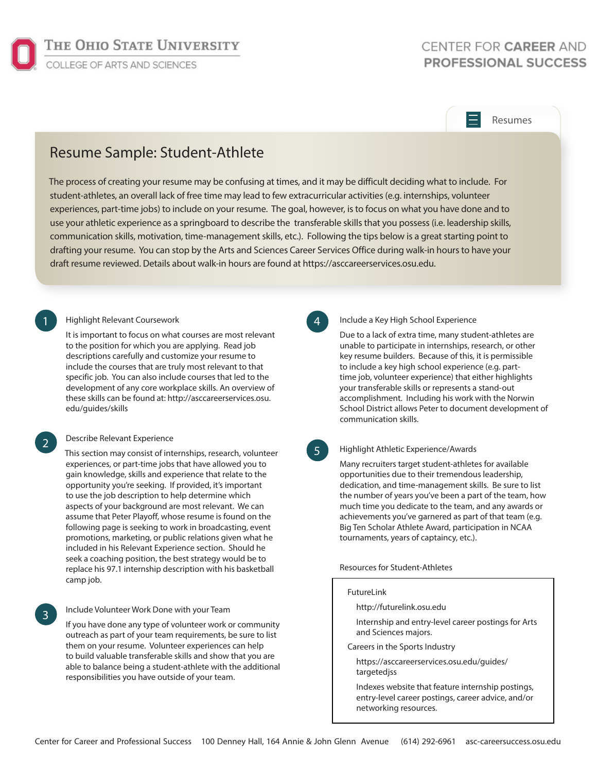

# CENTER FOR CAREER AND **PROFESSIONAL SUCCESS**

## Resumes

# Resume Sample: Student-Athlete

The process of creating your resume may be confusing at times, and it may be difficult deciding what to include. For student-athletes, an overall lack of free time may lead to few extracurricular activities (e.g. internships, volunteer experiences, part-time jobs) to include on your resume. The goal, however, is to focus on what you have done and to use your athletic experience as a springboard to describe the transferable skills that you possess (i.e. leadership skills, communication skills, motivation, time-management skills, etc.). Following the tips below is a great starting point to drafting your resume. You can stop by the Arts and Sciences Career Services Office during walk-in hours to have your draft resume reviewed. Details about walk-in hours are found at https://asccareerservices.osu.edu.

## 1 Highlight Relevant Coursework **4**

It is important to focus on what courses are most relevant to the position for which you are applying. Read job descriptions carefully and customize your resume to include the courses that are truly most relevant to that specific job. You can also include courses that led to the development of any core workplace skills. An overview of these skills can be found at: http://asccareerservices.osu. edu/guides/skills

#### Describe Relevant Experience

2

3

This section may consist of internships, research, volunteer experiences, or part-time jobs that have allowed you to gain knowledge, skills and experience that relate to the opportunity you're seeking. If provided, it's important to use the job description to help determine which aspects of your background are most relevant. We can assume that Peter Playoff, whose resume is found on the following page is seeking to work in broadcasting, event promotions, marketing, or public relations given what he included in his Relevant Experience section. Should he seek a coaching position, the best strategy would be to replace his 97.1 internship description with his basketball camp job.

## Include Volunteer Work Done with your Team

If you have done any type of volunteer work or community outreach as part of your team requirements, be sure to list them on your resume. Volunteer experiences can help to build valuable transferable skills and show that you are able to balance being a student-athlete with the additional responsibilities you have outside of your team.

#### Include a Key High School Experience

Due to a lack of extra time, many student-athletes are unable to participate in internships, research, or other key resume builders. Because of this, it is permissible to include a key high school experience (e.g. parttime job, volunteer experience) that either highlights your transferable skills or represents a stand-out accomplishment. Including his work with the Norwin School District allows Peter to document development of communication skills.

## 5

#### Highlight Athletic Experience/Awards

Many recruiters target student-athletes for available opportunities due to their tremendous leadership, dedication, and time-management skills. Be sure to list the number of years you've been a part of the team, how much time you dedicate to the team, and any awards or achievements you've garnered as part of that team (e.g. Big Ten Scholar Athlete Award, participation in NCAA tournaments, years of captaincy, etc.).

#### Resources for Student-Athletes

#### FutureLink

http://futurelink.osu.edu

Internship and entry-level career postings for Arts and Sciences majors.

Careers in the Sports Industry

https://asccareerservices.osu.edu/guides/ targetedjss

Indexes website that feature internship postings, entry-level career postings, career advice, and/or networking resources.